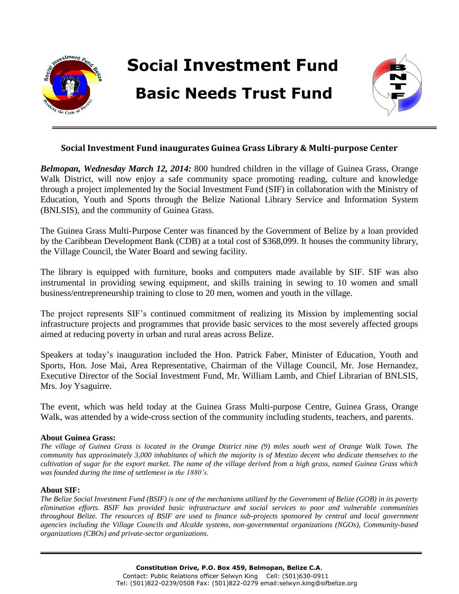

## **Social Investment Fund inaugurates Guinea Grass Library & Multi-purpose Center**

*Belmopan, Wednesday March 12, 2014:* 800 hundred children in the village of Guinea Grass, Orange Walk District, will now enjoy a safe community space promoting reading, culture and knowledge through a project implemented by the Social Investment Fund (SIF) in collaboration with the Ministry of Education, Youth and Sports through the Belize National Library Service and Information System (BNLSIS), and the community of Guinea Grass.

The Guinea Grass Multi-Purpose Center was financed by the Government of Belize by a loan provided by the Caribbean Development Bank (CDB) at a total cost of \$368,099. It houses the community library, the Village Council, the Water Board and sewing facility.

The library is equipped with furniture, books and computers made available by SIF. SIF was also instrumental in providing sewing equipment, and skills training in sewing to 10 women and small business/entrepreneurship training to close to 20 men, women and youth in the village.

The project represents SIF's continued commitment of realizing its Mission by implementing social infrastructure projects and programmes that provide basic services to the most severely affected groups aimed at reducing poverty in urban and rural areas across Belize.

Speakers at today's inauguration included the Hon. Patrick Faber, Minister of Education, Youth and Sports, Hon. Jose Mai, Area Representative, Chairman of the Village Council, Mr. Jose Hernandez, Executive Director of the Social Investment Fund, Mr. William Lamb, and Chief Librarian of BNLSIS, Mrs. Joy Ysaguirre.

The event, which was held today at the Guinea Grass Multi-purpose Centre, Guinea Grass, Orange Walk, was attended by a wide-cross section of the community including students, teachers, and parents.

## **About Guinea Grass:**

*The village of Guinea Grass is located in the Orange District nine (9) miles south west of Orange Walk Town. The community has approximately 3,000 inhabitants of which the majority is of Mestizo decent who dedicate themselves to the cultivation of sugar for the export market. The name of the village derived from a high grass, named Guinea Grass which was founded during the time of settlement in the 1880's.*

## **About SIF:**

*The Belize Social Investment Fund (BSIF) is one of the mechanisms utilized by the Government of Belize (GOB) in its poverty elimination efforts. BSIF has provided basic infrastructure and social services to poor and vulnerable communities throughout Belize. The resources of BSIF are used to finance sub-projects sponsored by central and local government agencies including the Village Councils and Alcalde systems, non-governmental organizations (NGOs), Community-based organizations (CBOs) and private-sector organizations.*